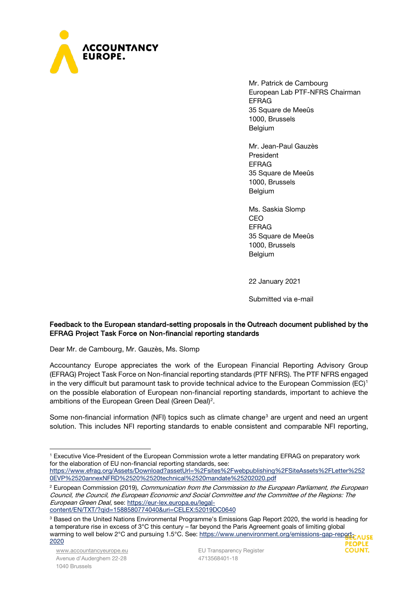

Mr. Patrick de Cambourg European Lab PTF-NFRS Chairman EFRAG 35 Square de Meeûs 1000, Brussels **Belgium** 

Mr. Jean-Paul Gauzès President EFRAG 35 Square de Meeûs 1000, Brussels Belgium

Ms. Saskia Slomp CEO EFRAG 35 Square de Meeûs 1000, Brussels Belgium

22 January 2021

Submitted via e-mail

**COUNT.** 

# Feedback to the European standard-setting proposals in the Outreach document published by the EFRAG Project Task Force on Non-financial reporting standards

Dear Mr. de Cambourg, Mr. Gauzès, Ms. Slomp

Accountancy Europe appreciates the work of the European Financial Reporting Advisory Group (EFRAG) Project Task Force on Non-financial reporting standards (PTF NFRS). The PTF NFRS engaged in the very difficult but paramount task to provide technical advice to the European Commission (EC)<sup>[1](#page-0-0)</sup> on the possible elaboration of European non-financial reporting standards, important to achieve the ambitions of the European Green Deal (Green Deal)<sup>[2](#page-0-1)</sup>.

Some non-financial information (NFI) topics such as climate change<sup>[3](#page-0-2)</sup> are urgent and need an urgent solution. This includes NFI reporting standards to enable consistent and comparable NFI reporting,

<span id="page-0-0"></span><sup>1</sup> Executive Vice-President of the European Commission wrote a letter mandating EFRAG on preparatory work for the elaboration of EU non-financial reporting standards, see: [https://www.efrag.org/Assets/Download?assetUrl=%2Fsites%2Fwebpublishing%2FSiteAssets%2FLetter%252](https://www.efrag.org/Assets/Download?assetUrl=%2Fsites%2Fwebpublishing%2FSiteAssets%2FLetter%2520EVP%2520annexNFRD%2520%2520technical%2520mandate%25202020.pdf) [0EVP%2520annexNFRD%2520%2520technical%2520mandate%25202020.pdf](https://www.efrag.org/Assets/Download?assetUrl=%2Fsites%2Fwebpublishing%2FSiteAssets%2FLetter%2520EVP%2520annexNFRD%2520%2520technical%2520mandate%25202020.pdf)

<span id="page-0-1"></span><sup>&</sup>lt;sup>2</sup> European Commission (2019), Communication from the Commission to the European Parliament, the European Council, the Council, the European Economic and Social Committee and the Committee of the Regions: The European Green Deal, see: [https://eur-lex.europa.eu/legal](https://eur-lex.europa.eu/legal-content/EN/TXT/?qid=1588580774040&uri=CELEX:52019DC0640)[content/EN/TXT/?qid=1588580774040&uri=CELEX:52019DC0640](https://eur-lex.europa.eu/legal-content/EN/TXT/?qid=1588580774040&uri=CELEX:52019DC0640)

<span id="page-0-2"></span><sup>3</sup> Based on the United Nations Environmental Programme's Emissions Gap Report 2020, the world is heading for a temperature rise in excess of 3°C this century – far beyond the Paris Agreement goals of limiting global warming to well below 2°C and pursuing 1.5°C. See: [https://www.unenvironment.org/emissions-gap-report-](https://www.unenvironment.org/emissions-gap-report-2020)[2020](https://www.unenvironment.org/emissions-gap-report-2020)**PEOPLE**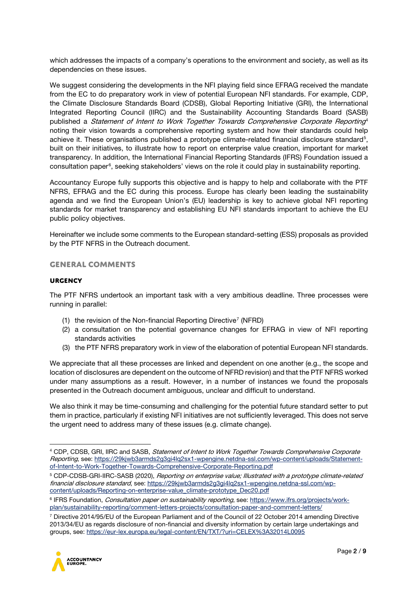which addresses the impacts of a company's operations to the environment and society, as well as its dependencies on these issues.

We suggest considering the developments in the NFI playing field since EFRAG received the mandate from the EC to do preparatory work in view of potential European NFI standards. For example, CDP, the Climate Disclosure Standards Board (CDSB), Global Reporting Initiative (GRI), the International Integrated Reporting Council (IIRC) and the Sustainability Accounting Standards Board (SASB) published a *Statement of Intent to Work Together Towards Comprehensive Corporate Reporting*<sup>[4](#page-1-0)</sup> noting their vision towards a comprehensive reporting system and how their standards could help achieve it. These organisations published a prototype climate-related financial disclosure standard<sup>[5](#page-1-1)</sup>, built on their initiatives, to illustrate how to report on enterprise value creation, important for market transparency. In addition, the International Financial Reporting Standards (IFRS) Foundation issued a consultation paper<sup>[6](#page-1-2)</sup>, seeking stakeholders' views on the role it could play in sustainability reporting.

Accountancy Europe fully supports this objective and is happy to help and collaborate with the PTF NFRS, EFRAG and the EC during this process. Europe has clearly been leading the sustainability agenda and we find the European Union's (EU) leadership is key to achieve global NFI reporting standards for market transparency and establishing EU NFI standards important to achieve the EU public policy objectives.

Hereinafter we include some comments to the European standard-setting (ESS) proposals as provided by the PTF NFRS in the Outreach document.

# **General comments**

#### **Urgency**

The PTF NFRS undertook an important task with a very ambitious deadline. Three processes were running in parallel:

- (1) the revision of the Non-financial Reporting Directive<sup>[7](#page-1-3)</sup> (NFRD)
- (2) a consultation on the potential governance changes for EFRAG in view of NFI reporting standards activities
- (3) the PTF NFRS preparatory work in view of the elaboration of potential European NFI standards.

We appreciate that all these processes are linked and dependent on one another (e.g., the scope and location of disclosures are dependent on the outcome of NFRD revision) and that the PTF NFRS worked under many assumptions as a result. However, in a number of instances we found the proposals presented in the Outreach document ambiguous, unclear and difficult to understand.

We also think it may be time-consuming and challenging for the potential future standard setter to put them in practice, particularly if existing NFI initiatives are not sufficiently leveraged. This does not serve the urgent need to address many of these issues (e.g. climate change).

<span id="page-1-3"></span><sup>7</sup> Directive 2014/95/EU of the European Parliament and of the Council of 22 October 2014 amending Directive 2013/34/EU as regards disclosure of non-financial and diversity information by certain large undertakings and groups, see:<https://eur-lex.europa.eu/legal-content/EN/TXT/?uri=CELEX%3A32014L0095>



<span id="page-1-0"></span><sup>4</sup> CDP, CDSB, GRI, IIRC and SASB, Statement of Intent to Work Together Towards Comprehensive Corporate Reporting, see[: https://29kjwb3armds2g3gi4lq2sx1-wpengine.netdna-ssl.com/wp-content/uploads/Statement](https://29kjwb3armds2g3gi4lq2sx1-wpengine.netdna-ssl.com/wp-content/uploads/Statement-of-Intent-to-Work-Together-Towards-Comprehensive-Corporate-Reporting.pdf)[of-Intent-to-Work-Together-Towards-Comprehensive-Corporate-Reporting.pdf](https://29kjwb3armds2g3gi4lq2sx1-wpengine.netdna-ssl.com/wp-content/uploads/Statement-of-Intent-to-Work-Together-Towards-Comprehensive-Corporate-Reporting.pdf)

<span id="page-1-1"></span><sup>5</sup> CDP-CDSB-GRI-IIRC-SASB (2020), Reporting on enterprise value; Illustrated with a prototype climate-related financial disclosure standard, see: [https://29kjwb3armds2g3gi4lq2sx1-wpengine.netdna-ssl.com/wp](https://29kjwb3armds2g3gi4lq2sx1-wpengine.netdna-ssl.com/wp-content/uploads/Reporting-on-enterprise-value_climate-prototype_Dec20.pdf)[content/uploads/Reporting-on-enterprise-value\\_climate-prototype\\_Dec20.pdf](https://29kjwb3armds2g3gi4lq2sx1-wpengine.netdna-ssl.com/wp-content/uploads/Reporting-on-enterprise-value_climate-prototype_Dec20.pdf)

<span id="page-1-2"></span><sup>&</sup>lt;sup>6</sup> IFRS Foundation, *Consultation paper on sustainability reporting*, see: [https://www.ifrs.org/projects/work](https://www.ifrs.org/projects/work-plan/sustainability-reporting/comment-letters-projects/consultation-paper-and-comment-letters/)[plan/sustainability-reporting/comment-letters-projects/consultation-paper-and-comment-letters/](https://www.ifrs.org/projects/work-plan/sustainability-reporting/comment-letters-projects/consultation-paper-and-comment-letters/)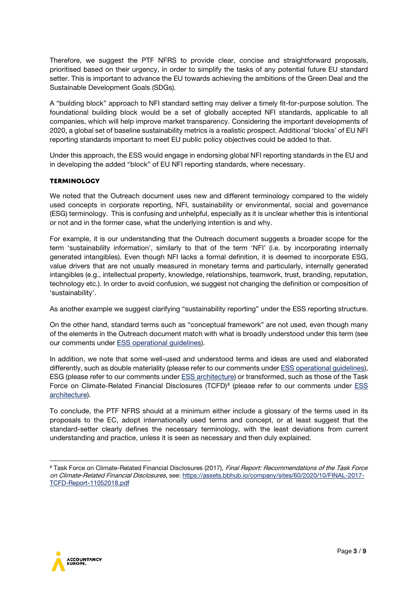Therefore, we suggest the PTF NFRS to provide clear, concise and straightforward proposals, prioritised based on their urgency, in order to simplify the tasks of any potential future EU standard setter. This is important to advance the EU towards achieving the ambitions of the Green Deal and the Sustainable Development Goals (SDGs).

A "building block" approach to NFI standard setting may deliver a timely fit-for-purpose solution. The foundational building block would be a set of globally accepted NFI standards, applicable to all companies, which will help improve market transparency. Considering the important developments of 2020, a global set of baseline sustainability metrics is a realistic prospect. Additional 'blocks' of EU NFI reporting standards important to meet EU public policy objectives could be added to that.

Under this approach, the ESS would engage in endorsing global NFI reporting standards in the EU and in developing the added "block" of EU NFI reporting standards, where necessary.

# **Terminology**

We noted that the Outreach document uses new and different terminology compared to the widely used concepts in corporate reporting, NFI, sustainability or environmental, social and governance (ESG) terminology. This is confusing and unhelpful, especially as it is unclear whether this is intentional or not and in the former case, what the underlying intention is and why.

For example, it is our understanding that the Outreach document suggests a broader scope for the term 'sustainability information', similarly to that of the term 'NFI' (i.e. by incorporating internally generated intangibles). Even though NFI lacks a formal definition, it is deemed to incorporate ESG, value drivers that are not usually measured in monetary terms and particularly, internally generated intangibles (e.g., intellectual property, knowledge, relationships, teamwork, trust, branding, reputation, technology etc.). In order to avoid confusion, we suggest not changing the definition or composition of 'sustainability'.

As another example we suggest clarifying "sustainability reporting" under the ESS reporting structure.

On the other hand, standard terms such as "conceptual framework" are not used, even though many of the elements in the Outreach document match with what is broadly understood under this term (see our comments under [ESS operational guidelines\)](#page-5-0).

In addition, we note that some well-used and understood terms and ideas are used and elaborated differently, such as double materiality (please refer to our comments under [ESS operational guidelines\)](#page-5-0), ESG (please refer to our comments under **ESS architecture**) or transformed, such as those of the Task Force on Climate-Related Financial Disclosures (TCFD)<sup>[8](#page-2-0)</sup> (please refer to our comments under ESS [architecture\)](#page-6-0).

To conclude, the PTF NFRS should at a minimum either include a glossary of the terms used in its proposals to the EC, adopt internationally used terms and concept, or at least suggest that the standard-setter clearly defines the necessary terminology, with the least deviations from current understanding and practice, unless it is seen as necessary and then duly explained.



<span id="page-2-0"></span><sup>8</sup> Task Force on Climate-Related Financial Disclosures (2017), Final Report: Recommendations of the Task Force on Climate-Related Financial Disclosures, see: [https://assets.bbhub.io/company/sites/60/2020/10/FINAL-2017-](https://assets.bbhub.io/company/sites/60/2020/10/FINAL-2017-TCFD-Report-11052018.pdf) [TCFD-Report-11052018.pdf](https://assets.bbhub.io/company/sites/60/2020/10/FINAL-2017-TCFD-Report-11052018.pdf)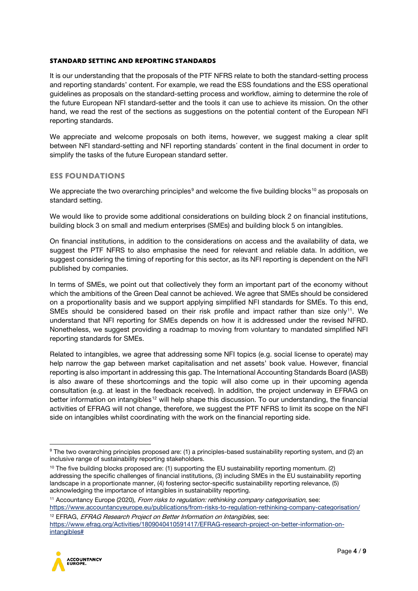#### **Standard setting and reporting standards**

It is our understanding that the proposals of the PTF NFRS relate to both the standard-setting process and reporting standards' content. For example, we read the ESS foundations and the ESS operational guidelines as proposals on the standard-setting process and workflow, aiming to determine the role of the future European NFI standard-setter and the tools it can use to achieve its mission. On the other hand, we read the rest of the sections as suggestions on the potential content of the European NFI reporting standards.

We appreciate and welcome proposals on both items, however, we suggest making a clear split between NFI standard-setting and NFI reporting standards´ content in the final document in order to simplify the tasks of the future European standard setter.

## **ESS Foundations**

We appreciate the two overarching principles<sup>[9](#page-3-0)</sup> and welcome the five building blocks<sup>[10](#page-3-1)</sup> as proposals on standard setting.

We would like to provide some additional considerations on building block 2 on financial institutions, building block 3 on small and medium enterprises (SMEs) and building block 5 on intangibles.

On financial institutions, in addition to the considerations on access and the availability of data, we suggest the PTF NFRS to also emphasise the need for relevant and reliable data. In addition, we suggest considering the timing of reporting for this sector, as its NFI reporting is dependent on the NFI published by companies.

In terms of SMEs, we point out that collectively they form an important part of the economy without which the ambitions of the Green Deal cannot be achieved. We agree that SMEs should be considered on a proportionality basis and we support applying simplified NFI standards for SMEs. To this end, SMEs should be considered based on their risk profile and impact rather than size only<sup>11</sup>. We understand that NFI reporting for SMEs depends on how it is addressed under the revised NFRD. Nonetheless, we suggest providing a roadmap to moving from voluntary to mandated simplified NFI reporting standards for SMEs.

Related to intangibles, we agree that addressing some NFI topics (e.g. social license to operate) may help narrow the gap between market capitalisation and net assets' book value. However, financial reporting is also important in addressing this gap. The International Accounting Standards Board (IASB) is also aware of these shortcomings and the topic will also come up in their upcoming agenda consultation (e.g. at least in the feedback received). In addition, the project underway in EFRAG on better information on intangibles<sup>[12](#page-3-3)</sup> will help shape this discussion. To our understanding, the financial activities of EFRAG will not change, therefore, we suggest the PTF NFRS to limit its scope on the NFI side on intangibles whilst coordinating with the work on the financial reporting side.

<span id="page-3-2"></span><sup>11</sup> Accountancy Europe (2020), From risks to regulation: rethinking company categorisation, see: <https://www.accountancyeurope.eu/publications/from-risks-to-regulation-rethinking-company-categorisation/> <sup>12</sup> EFRAG, *EFRAG Research Project on Better Information on Intangibles*, see:

<span id="page-3-3"></span>[https://www.efrag.org/Activities/1809040410591417/EFRAG-research-project-on-better-information-on](https://www.efrag.org/Activities/1809040410591417/EFRAG-research-project-on-better-information-on-intangibles)[intangibles#](https://www.efrag.org/Activities/1809040410591417/EFRAG-research-project-on-better-information-on-intangibles)



<span id="page-3-0"></span><sup>&</sup>lt;sup>9</sup> The two overarching principles proposed are: (1) a principles-based sustainability reporting system, and (2) an inclusive range of sustainability reporting stakeholders.

<span id="page-3-1"></span> $10$  The five building blocks proposed are: (1) supporting the EU sustainability reporting momentum. (2) addressing the specific challenges of financial institutions, (3) including SMEs in the EU sustainability reporting landscape in a proportionate manner, (4) fostering sector-specific sustainability reporting relevance, (5) acknowledging the importance of intangibles in sustainability reporting.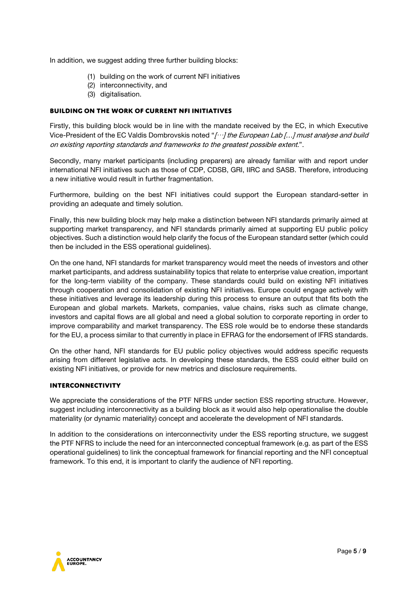In addition, we suggest adding three further building blocks:

- (1) building on the work of current NFI initiatives
- (2) interconnectivity, and
- (3) digitalisation.

## **Building on the work of current NFI initiatives**

Firstly, this building block would be in line with the mandate received by the EC, in which Executive Vice-President of the EC Valdis Dombrovskis noted " $[...]$  the European Lab [...] must analyse and build on existing reporting standards and frameworks to the greatest possible extent.".

Secondly, many market participants (including preparers) are already familiar with and report under international NFI initiatives such as those of CDP, CDSB, GRI, IIRC and SASB. Therefore, introducing a new initiative would result in further fragmentation.

Furthermore, building on the best NFI initiatives could support the European standard-setter in providing an adequate and timely solution.

Finally, this new building block may help make a distinction between NFI standards primarily aimed at supporting market transparency, and NFI standards primarily aimed at supporting EU public policy objectives. Such a distinction would help clarify the focus of the European standard setter (which could then be included in the ESS operational guidelines).

On the one hand, NFI standards for market transparency would meet the needs of investors and other market participants, and address sustainability topics that relate to enterprise value creation, important for the long-term viability of the company. These standards could build on existing NFI initiatives through cooperation and consolidation of existing NFI initiatives. Europe could engage actively with these initiatives and leverage its leadership during this process to ensure an output that fits both the European and global markets. Markets, companies, value chains, risks such as climate change, investors and capital flows are all global and need a global solution to corporate reporting in order to improve comparability and market transparency. The ESS role would be to endorse these standards for the EU, a process similar to that currently in place in EFRAG for the endorsement of IFRS standards.

On the other hand, NFI standards for EU public policy objectives would address specific requests arising from different legislative acts. In developing these standards, the ESS could either build on existing NFI initiatives, or provide for new metrics and disclosure requirements.

#### **Interconnectivity**

We appreciate the considerations of the PTF NFRS under section ESS reporting structure. However, suggest including interconnectivity as a building block as it would also help operationalise the double materiality (or dynamic materiality) concept and accelerate the development of NFI standards.

In addition to the considerations on interconnectivity under the ESS reporting structure, we suggest the PTF NFRS to include the need for an interconnected conceptual framework (e.g. as part of the ESS operational guidelines) to link the conceptual framework for financial reporting and the NFI conceptual framework. To this end, it is important to clarify the audience of NFI reporting.

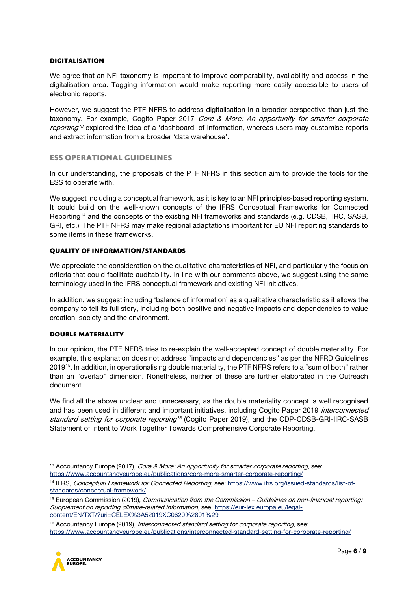#### **Digitalisation**

We agree that an NFI taxonomy is important to improve comparability, availability and access in the digitalisation area. Tagging information would make reporting more easily accessible to users of electronic reports.

However, we suggest the PTF NFRS to address digitalisation in a broader perspective than just the taxonomy. For example, Cogito Paper 2017 Core & More: An opportunity for smarter corporate reporting<sup>[13](#page-5-1)</sup> explored the idea of a 'dashboard' of information, whereas users may customise reports and extract information from a broader 'data warehouse'.

# <span id="page-5-0"></span>**ESS operational guidelines**

In our understanding, the proposals of the PTF NFRS in this section aim to provide the tools for the ESS to operate with.

We suggest including a conceptual framework, as it is key to an NFI principles-based reporting system. It could build on the well-known concepts of the IFRS Conceptual Frameworks for Connected Reporting[14](#page-5-2) and the concepts of the existing NFI frameworks and standards (e.g. CDSB, IIRC, SASB, GRI, etc.). The PTF NFRS may make regional adaptations important for EU NFI reporting standards to some items in these frameworks.

#### **Quality of information/standards**

We appreciate the consideration on the qualitative characteristics of NFI, and particularly the focus on criteria that could facilitate auditability. In line with our comments above, we suggest using the same terminology used in the IFRS conceptual framework and existing NFI initiatives.

In addition, we suggest including 'balance of information' as a qualitative characteristic as it allows the company to tell its full story, including both positive and negative impacts and dependencies to value creation, society and the environment.

## **Double materiality**

In our opinion, the PTF NFRS tries to re-explain the well-accepted concept of double materiality. For example, this explanation does not address "impacts and dependencies" as per the NFRD Guidelines 2019[15](#page-5-3). In addition, in operationalising double materiality, the PTF NFRS refers to a "sum of both" rather than an "overlap" dimension. Nonetheless, neither of these are further elaborated in the Outreach document.

We find all the above unclear and unnecessary, as the double materiality concept is well recognised and has been used in different and important initiatives, including Cogito Paper 2019 Interconnected standard setting for corporate reporting<sup>[16](#page-5-4)</sup> (Cogito Paper 2019), and the CDP-CDSB-GRI-IIRC-SASB Statement of Intent to Work Together Towards Comprehensive Corporate Reporting.

<span id="page-5-4"></span><sup>&</sup>lt;sup>16</sup> Accountancy Europe (2019), Interconnected standard setting for corporate reporting, see: <https://www.accountancyeurope.eu/publications/interconnected-standard-setting-for-corporate-reporting/>



<span id="page-5-1"></span><sup>&</sup>lt;sup>13</sup> Accountancy Europe (2017), *Core & More: An opportunity for smarter corporate reporting*, see: <https://www.accountancyeurope.eu/publications/core-more-smarter-corporate-reporting/>

<span id="page-5-2"></span><sup>14</sup> IFRS, Conceptual Framework for Connected Reporting, see: [https://www.ifrs.org/issued-standards/list-of](https://www.ifrs.org/issued-standards/list-of-standards/conceptual-framework/)[standards/conceptual-framework/](https://www.ifrs.org/issued-standards/list-of-standards/conceptual-framework/)

<span id="page-5-3"></span><sup>&</sup>lt;sup>15</sup> European Commission (2019), *Communication from the Commission – Guidelines on non-financial reporting:* Supplement on reporting climate-related information, see: [https://eur-lex.europa.eu/legal](https://eur-lex.europa.eu/legal-content/EN/TXT/?uri=CELEX%3A52019XC0620%2801%29)[content/EN/TXT/?uri=CELEX%3A52019XC0620%2801%29](https://eur-lex.europa.eu/legal-content/EN/TXT/?uri=CELEX%3A52019XC0620%2801%29)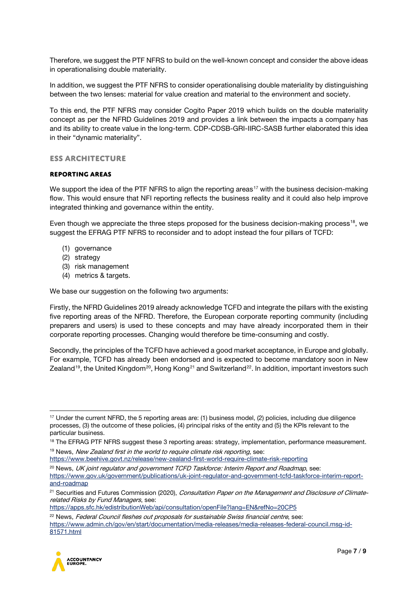Therefore, we suggest the PTF NFRS to build on the well-known concept and consider the above ideas in operationalising double materiality.

In addition, we suggest the PTF NFRS to consider operationalising double materiality by distinguishing between the two lenses: material for value creation and material to the environment and society.

To this end, the PTF NFRS may consider Cogito Paper 2019 which builds on the double materiality concept as per the NFRD Guidelines 2019 and provides a link between the impacts a company has and its ability to create value in the long-term. CDP-CDSB-GRI-IIRC-SASB further elaborated this idea in their "dynamic materiality".

# <span id="page-6-0"></span>**ESS architecture**

## **Reporting areas**

We support the idea of the PTF NFRS to align the reporting areas<sup>[17](#page-6-1)</sup> with the business decision-making flow. This would ensure that NFI reporting reflects the business reality and it could also help improve integrated thinking and governance within the entity.

Even though we appreciate the three steps proposed for the business decision-making process<sup>18</sup>, we suggest the EFRAG PTF NFRS to reconsider and to adopt instead the four pillars of TCFD:

- (1) governance
- (2) strategy
- (3) risk management
- (4) metrics & targets.

We base our suggestion on the following two arguments:

Firstly, the NFRD Guidelines 2019 already acknowledge TCFD and integrate the pillars with the existing five reporting areas of the NFRD. Therefore, the European corporate reporting community (including preparers and users) is used to these concepts and may have already incorporated them in their corporate reporting processes. Changing would therefore be time-consuming and costly.

Secondly, the principles of the TCFD have achieved a good market acceptance, in Europe and globally. For example, TCFD has already been endorsed and is expected to become mandatory soon in New Zealand<sup>[19](#page-6-3)</sup>, the United Kingdom<sup>20</sup>, Hong Kong<sup>[21](#page-6-5)</sup> and Switzerland<sup>[22](#page-6-6)</sup>. In addition, important investors such

<span id="page-6-3"></span><https://www.beehive.govt.nz/release/new-zealand-first-world-require-climate-risk-reporting>

<https://apps.sfc.hk/edistributionWeb/api/consultation/openFile?lang=EN&refNo=20CP5>

<span id="page-6-6"></span><sup>&</sup>lt;sup>22</sup> News, Federal Council fleshes out proposals for sustainable Swiss financial centre, see: [https://www.admin.ch/gov/en/start/documentation/media-releases/media-releases-federal-council.msg-id-](https://www.admin.ch/gov/en/start/documentation/media-releases/media-releases-federal-council.msg-id-81571.html)[81571.html](https://www.admin.ch/gov/en/start/documentation/media-releases/media-releases-federal-council.msg-id-81571.html)



<span id="page-6-1"></span><sup>&</sup>lt;sup>17</sup> Under the current NFRD, the 5 reporting areas are: (1) business model, (2) policies, including due diligence processes, (3) the outcome of these policies, (4) principal risks of the entity and (5) the KPIs relevant to the particular business.

<span id="page-6-2"></span><sup>18</sup> The EFRAG PTF NFRS suggest these 3 reporting areas: strategy, implementation, performance measurement. <sup>19</sup> News, New Zealand first in the world to require climate risk reporting, see:

<span id="page-6-4"></span> $20$  News, UK joint regulator and government TCFD Taskforce: Interim Report and Roadmap, see: [https://www.gov.uk/government/publications/uk-joint-regulator-and-government-tcfd-taskforce-interim-report](https://www.gov.uk/government/publications/uk-joint-regulator-and-government-tcfd-taskforce-interim-report-and-roadmap)[and-roadmap](https://www.gov.uk/government/publications/uk-joint-regulator-and-government-tcfd-taskforce-interim-report-and-roadmap)

<span id="page-6-5"></span><sup>&</sup>lt;sup>21</sup> Securities and Futures Commission (2020), Consultation Paper on the Management and Disclosure of Climaterelated Risks by Fund Managers, see: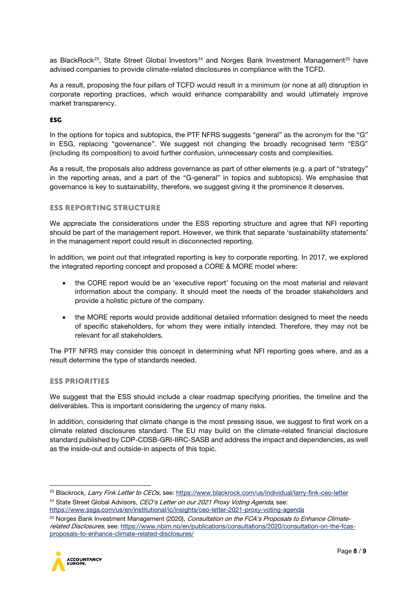as BlackRock<sup>[23](#page-7-0)</sup>, State Street Global Investors<sup>[24](#page-7-1)</sup> and Norges Bank Investment Management<sup>[25](#page-7-2)</sup> have advised companies to provide climate-related disclosures in compliance with the TCFD.

As a result, proposing the four pillars of TCFD would result in a minimum (or none at all) disruption in corporate reporting practices, which would enhance comparability and would ultimately improve market transparency.

#### **ESG**

In the options for topics and subtopics, the PTF NFRS suggests "general" as the acronym for the "G" in ESG, replacing "governance". We suggest not changing the broadly recognised term "ESG" (including its composition) to avoid further confusion, unnecessary costs and complexities.

As a result, the proposals also address governance as part of other elements (e.g. a part of "strategy" in the reporting areas, and a part of the "G-general" in topics and subtopics). We emphasise that governance is key to sustainability, therefore, we suggest giving it the prominence it deserves.

#### **ESS reporting structure**

We appreciate the considerations under the ESS reporting structure and agree that NFI reporting should be part of the management report. However, we think that separate 'sustainability statements' in the management report could result in disconnected reporting.

In addition, we point out that integrated reporting is key to corporate reporting. In 2017, we explored the integrated reporting concept and proposed a CORE & MORE model where:

- the CORE report would be an 'executive report' focusing on the most material and relevant information about the company. It should meet the needs of the broader stakeholders and provide a holistic picture of the company.
- the MORE reports would provide additional detailed information designed to meet the needs of specific stakeholders, for whom they were initially intended. Therefore, they may not be relevant for all stakeholders.

The PTF NFRS may consider this concept in determining what NFI reporting goes where, and as a result determine the type of standards needed.

# **ESS priorities**

We suggest that the ESS should include a clear roadmap specifying priorities, the timeline and the deliverables. This is important considering the urgency of many risks.

In addition, considering that climate change is the most pressing issue, we suggest to first work on a climate related disclosures standard. The EU may build on the climate-related financial disclosure standard published by CDP-CDSB-GRI-IIRC-SASB and address the impact and dependencies, as well as the inside-out and outside-in aspects of this topic.

<span id="page-7-1"></span><sup>24</sup> State Street Global Advisors, *CEO's Letter on our 2021 Proxy Voting Agenda*, see: <https://www.ssga.com/us/en/institutional/ic/insights/ceo-letter-2021-proxy-voting-agenda>

<span id="page-7-2"></span><sup>&</sup>lt;sup>25</sup> Norges Bank Investment Management (2020), Consultation on the FCA's Proposals to Enhance Climaterelated Disclosures, see: [https://www.nbim.no/en/publications/consultations/2020/consultation-on-the-fcas](https://www.nbim.no/en/publications/consultations/2020/consultation-on-the-fcas-proposals-to-enhance-climate-related-disclosures/)[proposals-to-enhance-climate-related-disclosures/](https://www.nbim.no/en/publications/consultations/2020/consultation-on-the-fcas-proposals-to-enhance-climate-related-disclosures/)



<span id="page-7-0"></span><sup>&</sup>lt;sup>23</sup> Blackrock, Larry Fink Letter to CEOs, see[: https://www.blackrock.com/us/individual/larry-fink-ceo-letter](https://www.blackrock.com/us/individual/larry-fink-ceo-letter)